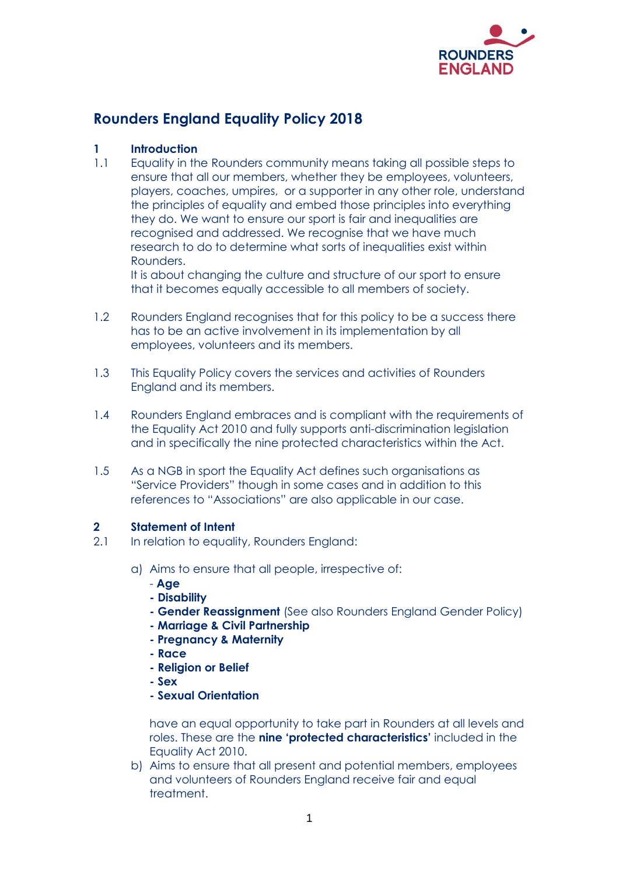

# **Rounders England Equality Policy 2018**

# **1 Introduction**

1.1 Equality in the Rounders community means taking all possible steps to ensure that all our members, whether they be employees, volunteers, players, coaches, umpires, or a supporter in any other role, understand the principles of equality and embed those principles into everything they do. We want to ensure our sport is fair and inequalities are recognised and addressed. We recognise that we have much research to do to determine what sorts of inequalities exist within Rounders.

It is about changing the culture and structure of our sport to ensure that it becomes equally accessible to all members of society.

- 1.2 Rounders England recognises that for this policy to be a success there has to be an active involvement in its implementation by all employees, volunteers and its members.
- 1.3 This Equality Policy covers the services and activities of Rounders England and its members.
- 1.4 Rounders England embraces and is compliant with the requirements of the Equality Act 2010 and fully supports anti-discrimination legislation and in specifically the nine protected characteristics within the Act.
- 1.5 As a NGB in sport the Equality Act defines such organisations as "Service Providers" though in some cases and in addition to this references to "Associations" are also applicable in our case.

# **2 Statement of Intent**

- 2.1 In relation to equality, Rounders England:
	- a) Aims to ensure that all people, irrespective of:
		- **Age**
		- **- Disability**
		- **- Gender Reassignment** (See also Rounders England Gender Policy)
		- **- Marriage & Civil Partnership**
		- **- Pregnancy & Maternity**
		- **- Race**
		- **- Religion or Belief**
		- **- Sex**
		- **- Sexual Orientation**

have an equal opportunity to take part in Rounders at all levels and roles. These are the **nine 'protected characteristics'** included in the Equality Act 2010.

b) Aims to ensure that all present and potential members, employees and volunteers of Rounders England receive fair and equal treatment.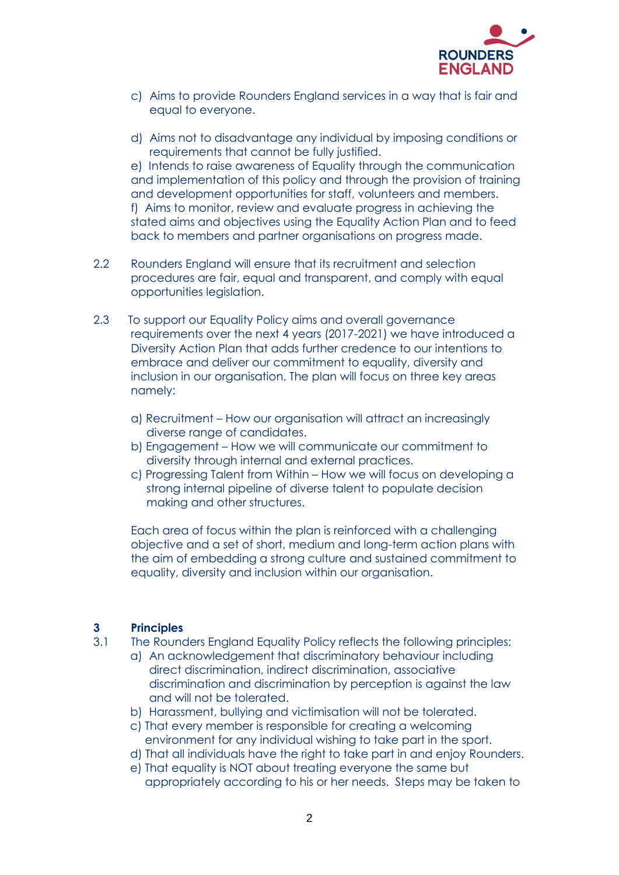

- c) Aims to provide Rounders England services in a way that is fair and equal to everyone.
- d) Aims not to disadvantage any individual by imposing conditions or requirements that cannot be fully justified.

e) Intends to raise awareness of Equality through the communication and implementation of this policy and through the provision of training and development opportunities for staff, volunteers and members. f) Aims to monitor, review and evaluate progress in achieving the stated aims and objectives using the Equality Action Plan and to feed back to members and partner organisations on progress made.

- 2.2 Rounders England will ensure that its recruitment and selection procedures are fair, equal and transparent, and comply with equal opportunities legislation.
- 2.3 To support our Equality Policy aims and overall governance requirements over the next 4 years (2017-2021) we have introduced a Diversity Action Plan that adds further credence to our intentions to embrace and deliver our commitment to equality, diversity and inclusion in our organisation. The plan will focus on three key areas namely:
	- a) Recruitment How our organisation will attract an increasingly diverse range of candidates.
	- b) Engagement How we will communicate our commitment to diversity through internal and external practices.
	- c) Progressing Talent from Within How we will focus on developing a strong internal pipeline of diverse talent to populate decision making and other structures.

Each area of focus within the plan is reinforced with a challenging objective and a set of short, medium and long-term action plans with the aim of embedding a strong culture and sustained commitment to equality, diversity and inclusion within our organisation.

#### **3 Principles**

- 3.1 The Rounders England Equality Policy reflects the following principles:
	- a) An acknowledgement that discriminatory behaviour including direct discrimination, indirect discrimination, associative discrimination and discrimination by perception is against the law and will not be tolerated.
	- b) Harassment, bullying and victimisation will not be tolerated.
	- c) That every member is responsible for creating a welcoming environment for any individual wishing to take part in the sport.
	- d) That all individuals have the right to take part in and enjoy Rounders.
	- e) That equality is NOT about treating everyone the same but appropriately according to his or her needs. Steps may be taken to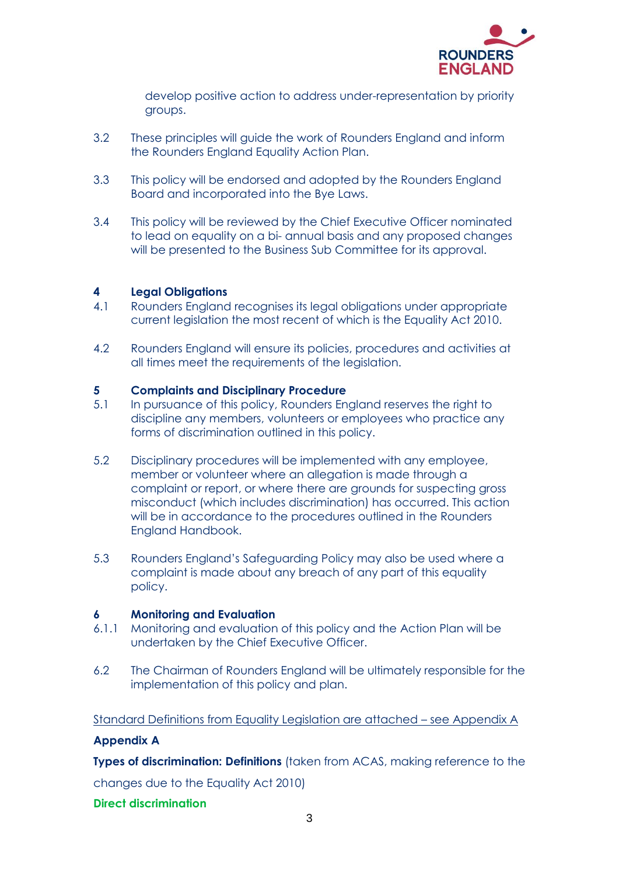

develop positive action to address under-representation by priority groups.

- 3.2 These principles will guide the work of Rounders England and inform the Rounders England Equality Action Plan.
- 3.3 This policy will be endorsed and adopted by the Rounders England Board and incorporated into the Bye Laws.
- 3.4 This policy will be reviewed by the Chief Executive Officer nominated to lead on equality on a bi- annual basis and any proposed changes will be presented to the Business Sub Committee for its approval.

## **4 Legal Obligations**

- 4.1 Rounders England recognises its legal obligations under appropriate current legislation the most recent of which is the Equality Act 2010.
- 4.2 Rounders England will ensure its policies, procedures and activities at all times meet the requirements of the legislation.

#### **5 Complaints and Disciplinary Procedure**

- 5.1 In pursuance of this policy, Rounders England reserves the right to discipline any members, volunteers or employees who practice any forms of discrimination outlined in this policy.
- 5.2 Disciplinary procedures will be implemented with any employee, member or volunteer where an allegation is made through a complaint or report, or where there are grounds for suspecting gross misconduct (which includes discrimination) has occurred. This action will be in accordance to the procedures outlined in the Rounders England Handbook.
- 5.3 Rounders England's Safeguarding Policy may also be used where a complaint is made about any breach of any part of this equality policy.

#### **6 Monitoring and Evaluation**

- 6.1.1 Monitoring and evaluation of this policy and the Action Plan will be undertaken by the Chief Executive Officer.
- 6.2 The Chairman of Rounders England will be ultimately responsible for the implementation of this policy and plan.

#### Standard Definitions from Equality Legislation are attached – see Appendix A

#### **Appendix A**

**Types of discrimination: Definitions** (taken from ACAS, making reference to the

changes due to the Equality Act 2010)

### **Direct discrimination**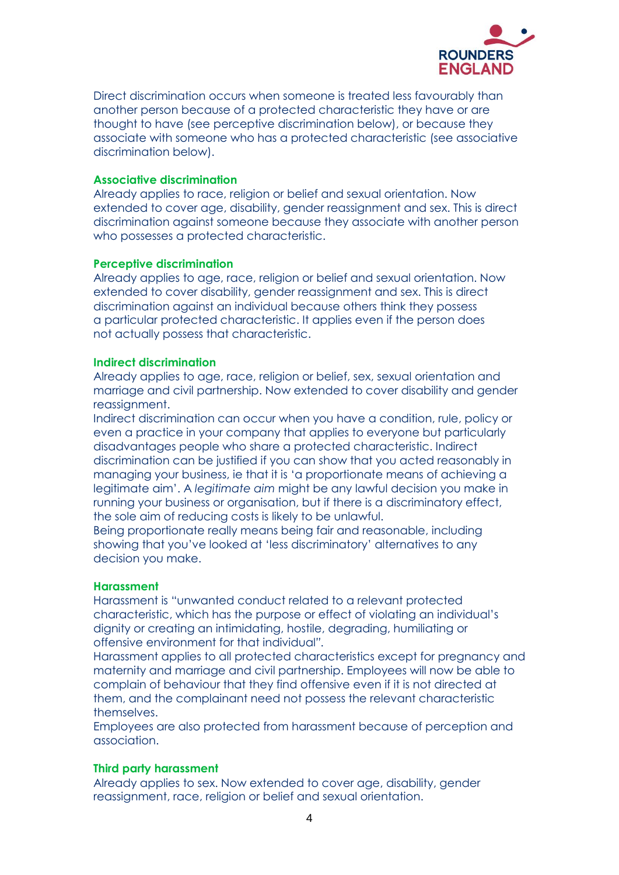

Direct discrimination occurs when someone is treated less favourably than another person because of a protected characteristic they have or are thought to have (see perceptive discrimination below), or because they associate with someone who has a protected characteristic (see associative discrimination below).

#### **Associative discrimination**

Already applies to race, religion or belief and sexual orientation. Now extended to cover age, disability, gender reassignment and sex. This is direct discrimination against someone because they associate with another person who possesses a protected characteristic.

#### **Perceptive discrimination**

Already applies to age, race, religion or belief and sexual orientation. Now extended to cover disability, gender reassignment and sex. This is direct discrimination against an individual because others think they possess a particular protected characteristic. It applies even if the person does not actually possess that characteristic.

#### **Indirect discrimination**

Already applies to age, race, religion or belief, sex, sexual orientation and marriage and civil partnership. Now extended to cover disability and gender reassignment.

Indirect discrimination can occur when you have a condition, rule, policy or even a practice in your company that applies to everyone but particularly disadvantages people who share a protected characteristic. Indirect discrimination can be justified if you can show that you acted reasonably in managing your business, ie that it is 'a proportionate means of achieving a legitimate aim'. A *legitimate aim* might be any lawful decision you make in running your business or organisation, but if there is a discriminatory effect, the sole aim of reducing costs is likely to be unlawful.

Being proportionate really means being fair and reasonable, including showing that you've looked at 'less discriminatory' alternatives to any decision you make.

#### **Harassment**

Harassment is "unwanted conduct related to a relevant protected characteristic, which has the purpose or effect of violating an individual's dignity or creating an intimidating, hostile, degrading, humiliating or offensive environment for that individual*".*

Harassment applies to all protected characteristics except for pregnancy and maternity and marriage and civil partnership. Employees will now be able to complain of behaviour that they find offensive even if it is not directed at them, and the complainant need not possess the relevant characteristic themselves.

Employees are also protected from harassment because of perception and association.

#### **Third party harassment**

Already applies to sex. Now extended to cover age, disability, gender reassignment, race, religion or belief and sexual orientation.